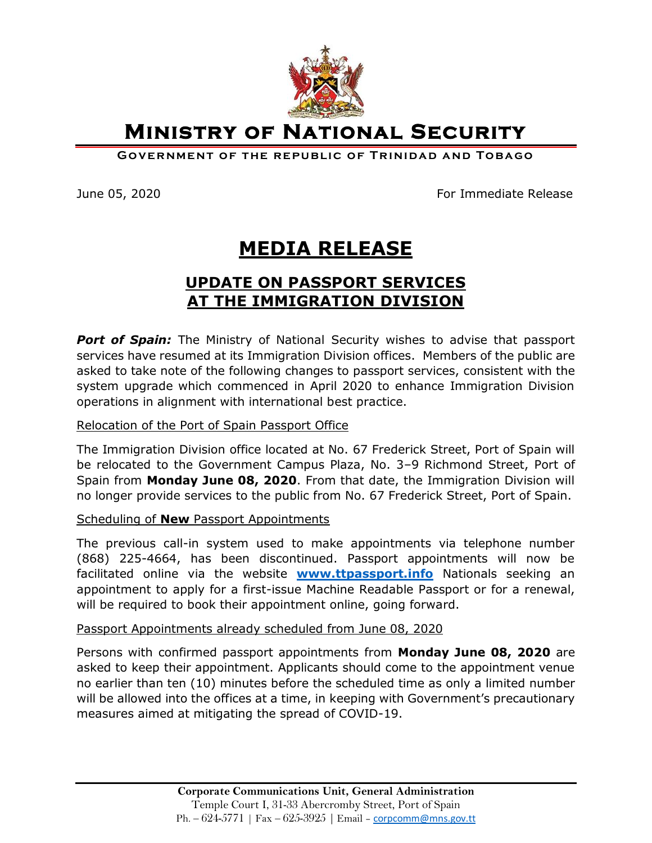

**Ministry of National Security** 

**GOVERNMENT OF THE REPUBLIC OF TRINIDAD AND TOBAGO** 

June 05, 2020 **For Immediate Release** 

# **MEDIA RELEASE**

## **UPDATE ON PASSPORT SERVICES AT THE IMMIGRATION DIVISION**

**Port of Spain:** The Ministry of National Security wishes to advise that passport services have resumed at its Immigration Division offices. Members of the public are asked to take note of the following changes to passport services, consistent with the system upgrade which commenced in April 2020 to enhance Immigration Division operations in alignment with international best practice.

### Relocation of the Port of Spain Passport Office

The Immigration Division office located at No. 67 Frederick Street, Port of Spain will be relocated to the Government Campus Plaza, No. 3–9 Richmond Street, Port of Spain from **Monday June 08, 2020**. From that date, the Immigration Division will no longer provide services to the public from No. 67 Frederick Street, Port of Spain.

### Scheduling of **New** Passport Appointments

The previous call-in system used to make appointments via telephone number (868) 225-4664, has been discontinued. Passport appointments will now be facilitated online via the website **[www.ttpassport.info](http://www.ttpassport.info/)** Nationals seeking an appointment to apply for a first-issue Machine Readable Passport or for a renewal, will be required to book their appointment online, going forward.

### Passport Appointments already scheduled from June 08, 2020

Persons with confirmed passport appointments from **Monday June 08, 2020** are asked to keep their appointment. Applicants should come to the appointment venue no earlier than ten (10) minutes before the scheduled time as only a limited number will be allowed into the offices at a time, in keeping with Government's precautionary measures aimed at mitigating the spread of COVID-19.